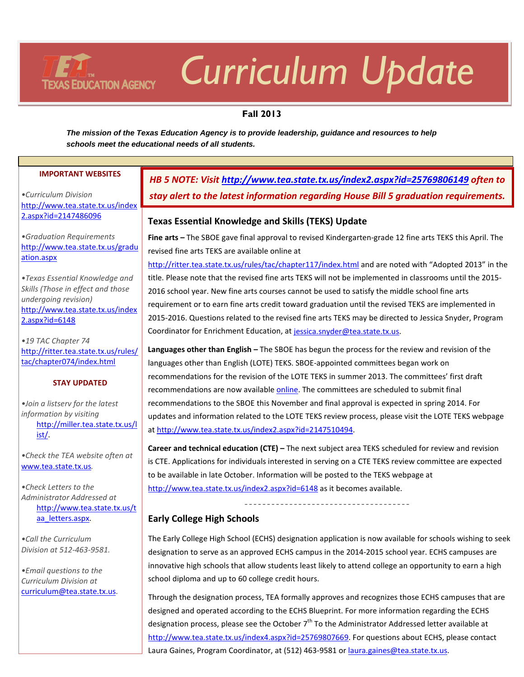# *Curriculum Update*

# **Fall 2013**

*The mission of the Texas Education Agency is to provide leadership, guidance and resources to help schools meet the educational needs of all students.* 

#### **IMPORTANT WEBSITES**

**TEXAS EDUCATION AGENCY** 

*•Curriculum Division*  [http://www.tea.state.tx.us/index](http://www.tea.state.tx.us/index2.aspx?id=2147486096) [2.aspx?id=2147486096](http://www.tea.state.tx.us/index2.aspx?id=2147486096)

*•Graduation Requirements*  [http://www.tea.state.tx.us/gradu](http://www.tea.state.tx.us/graduation.aspx) [ation.aspx](http://www.tea.state.tx.us/graduation.aspx)

*•Texas Essential Knowledge and Skills (Those in effect and those undergoing revision)* [http://www.tea.state.tx.us/index](http://www.tea.state.tx.us/index2.aspx?id=6148) [2.aspx?id=6148](http://www.tea.state.tx.us/index2.aspx?id=6148)

*•19 TAC Chapter 74* [http://ritter.tea.state.tx.us/rules/](http://ritter.tea.state.tx.us/rules/tac/chapter074/index.html) [tac/chapter074/index.html](http://ritter.tea.state.tx.us/rules/tac/chapter074/index.html)

#### **STAY UPDATED**

*•Join a listserv for the latest information by visiting* [http://miller.tea.state.tx.us/l](http://miller.tea.state.tx.us/list/) [ist/.](http://miller.tea.state.tx.us/list/)

*•Check the TEA website often at*  [www.tea.state.tx.us](http://www.tea.state.tx.us/)*.*

*•Check Letters to the Administrator Addressed at* [http://www.tea.state.tx.us/t](http://www.tea.state.tx.us/taa_letters.aspx) aa letters.aspx.

*•Call the Curriculum Division at 512-463-9581.*

*•Email questions to the Curriculum Division at*  [curriculum@tea.state.tx.us.](mailto:curriculum@tea.state.tx.us)

# *HB 5 NOTE: Visit <http://www.tea.state.tx.us/index2.aspx?id=25769806149> often to stay alert to the latest information regarding House Bill 5 graduation requirements.*

## **Texas Essential Knowledge and Skills (TEKS) Update**

**Fine arts –** The SBOE gave final approval to revised Kindergarten-grade 12 fine arts TEKS this April. The revised fine arts TEKS are available online at

<http://ritter.tea.state.tx.us/rules/tac/chapter117/index.html> and are noted with "Adopted 2013" in the title. Please note that the revised fine arts TEKS will not be implemented in classrooms until the 2015- 2016 school year. New fine arts courses cannot be used to satisfy the middle school fine arts requirement or to earn fine arts credit toward graduation until the revised TEKS are implemented in 2015-2016. Questions related to the revised fine arts TEKS may be directed to Jessica Snyder, Program Coordinator for Enrichment Education, a[t jessica.snyder@tea.state.tx.us.](mailto:jessica.snyder@tea.state.tx.us)

**Languages other than English –** The SBOE has begun the process for the review and revision of the languages other than English (LOTE) TEKS. SBOE-appointed committees began work on recommendations for the revision of the LOTE TEKS in summer 2013. The committees' first draft recommendations are now available **online**. The committees are scheduled to submit final recommendations to the SBOE this November and final approval is expected in spring 2014. For updates and information related to the LOTE TEKS review process, please visit the LOTE TEKS webpage a[t http://www.tea.state.tx.us/index2.aspx?id=2147510494.](http://www.tea.state.tx.us/index2.aspx?id=2147510494)

**Career and technical education (CTE) –** The next subject area TEKS scheduled for review and revision is CTE. Applications for individuals interested in serving on a CTE TEKS review committee are expected to be available in late October. Information will be posted to the TEKS webpage at <http://www.tea.state.tx.us/index2.aspx?id=6148> as it becomes available.

## **Early College High Schools**

The Early College High School (ECHS) designation application is now available for schools wishing to seek designation to serve as an approved ECHS campus in the 2014-2015 school year. ECHS campuses are innovative high schools that allow students least likely to attend college an opportunity to earn a high school diploma and up to 60 college credit hours.

Through the designation process, TEA formally approves and recognizes those ECHS campuses that are designed and operated according to the ECHS Blueprint. For more information regarding the ECHS designation process, please see the October 7<sup>th</sup> To the Administrator Addressed letter available at [http://www.tea.state.tx.us/index4.aspx?id=25769807669.](http://www.tea.state.tx.us/index4.aspx?id=25769807669) For questions about ECHS, please contact Laura Gaines, Program Coordinator, at (512) 463-9581 or [laura.gaines@tea.state.tx.us.](mailto:laura.gaines@tea.state.tx.us)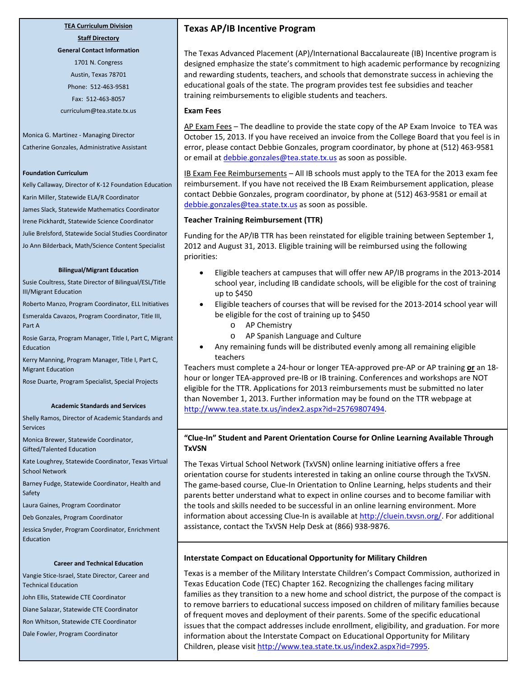#### **TEA Curriculum Division Staff Directory**

**General Contact Information**

1701 N. Congress Austin, Texas 78701 Phone: 512-463-9581 Fax: 512-463-8057 curriculum@tea.state.tx.us

Monica G. Martinez - Managing Director Catherine Gonzales, Administrative Assistant

#### **Foundation Curriculum**

Kelly Callaway, Director of K-12 Foundation Education Karin Miller, Statewide ELA/R Coordinator James Slack, Statewide Mathematics Coordinator Irene Pickhardt, Statewide Science Coordinator Julie Brelsford, Statewide Social Studies Coordinator Jo Ann Bilderback, Math/Science Content Specialist

#### **Bilingual/Migrant Education**

Susie Coultress, State Director of Bilingual/ESL/Title III/Migrant Education

Roberto Manzo, Program Coordinator, ELL Initiatives

Esmeralda Cavazos, Program Coordinator, Title III, Part A

Rosie Garza, Program Manager, Title I, Part C, Migrant Education

Kerry Manning, Program Manager, Title I, Part C, Migrant Education

Rose Duarte, Program Specialist, Special Projects

#### **Academic Standards and Services**

Shelly Ramos, Director of Academic Standards and Services

Monica Brewer, Statewide Coordinator, Gifted/Talented Education

Kate Loughrey, Statewide Coordinator, Texas Virtual School Network

Barney Fudge, Statewide Coordinator, Health and Safety

Laura Gaines, Program Coordinator

Deb Gonzales, Program Coordinator

Jessica Snyder, Program Coordinator, Enrichment Education

#### **Career and Technical Education**

Vangie Stice-Israel, State Director, Career and Technical Education

John Ellis, Statewide CTE Coordinator

Diane Salazar, Statewide CTE Coordinator

Ron Whitson, Statewide CTE Coordinator

Dale Fowler, Program Coordinator

#### **Texas AP/IB Incentive Program**

The Texas Advanced Placement (AP)/International Baccalaureate (IB) Incentive program is designed emphasize the state's commitment to high academic performance by recognizing and rewarding students, teachers, and schools that demonstrate success in achieving the educational goals of the state. The program provides test fee subsidies and teacher training reimbursements to eligible students and teachers.

#### **Exam Fees**

AP Exam Fees - The deadline to provide the state copy of the AP Exam Invoice to TEA was October 15, 2013. If you have received an invoice from the College Board that you feel is in error, please contact Debbie Gonzales, program coordinator, by phone at (512) 463-9581 or email at *debbie.gonzales@tea.state.tx.us* as soon as possible.

IB Exam Fee Reimbursements – All IB schools must apply to the TEA for the 2013 exam fee reimbursement. If you have not received the IB Exam Reimbursement application, please contact Debbie Gonzales, program coordinator, by phone at (512) 463-9581 or email at [debbie.gonzales@tea.state.tx.us](mailto:debbie.gonzales@tea.state.tx.us) as soon as possible.

#### **Teacher Training Reimbursement (TTR)**

Funding for the AP/IB TTR has been reinstated for eligible training between September 1, 2012 and August 31, 2013. Eligible training will be reimbursed using the following priorities:

- Eligible teachers at campuses that will offer new AP/IB programs in the 2013-2014 school year, including IB candidate schools, will be eligible for the cost of training up to \$450
- Eligible teachers of courses that will be revised for the 2013-2014 school year will be eligible for the cost of training up to \$450
	- o AP Chemistry
	- o AP Spanish Language and Culture
- Any remaining funds will be distributed evenly among all remaining eligible teachers

Teachers must complete a 24-hour or longer TEA-approved pre-AP or AP training **or** an 18 hour or longer TEA-approved pre-IB or IB training. Conferences and workshops are NOT eligible for the TTR. Applications for 2013 reimbursements must be submitted no later than November 1, 2013. Further information may be found on the TTR webpage at [http://www.tea.state.tx.us/index2.aspx?id=25769807494.](http://www.tea.state.tx.us/index2.aspx?id=25769807494) 

#### **"Clue-In" Student and Parent Orientation Course for Online Learning Available Through TxVSN**

The Texas Virtual School Network (TxVSN) online learning initiative offers a free orientation course for students interested in taking an online course through the TxVSN. The game-based course, Clue-In Orientation to Online Learning, helps students and their parents better understand what to expect in online courses and to become familiar with the tools and skills needed to be successful in an online learning environment. More information about accessing Clue-In is available at [http://cluein.txvsn.org/.](http://cluein.txvsn.org/) For additional assistance, contact the TxVSN Help Desk at (866) 938-9876.

#### **Interstate Compact on Educational Opportunity for Military Children**

Texas is a member of the Military Interstate Children's Compact Commission, authorized in Texas Education Code (TEC) Chapter 162. Recognizing the challenges facing military families as they transition to a new home and school district, the purpose of the compact is to remove barriers to educational success imposed on children of military families because of frequent moves and deployment of their parents. Some of the specific educational issues that the compact addresses include enrollment, eligibility, and graduation. For more information about the Interstate Compact on Educational Opportunity for Military Children, please visit [http://www.tea.state.tx.us/index2.aspx?id=7995.](http://www.tea.state.tx.us/index2.aspx?id=7995)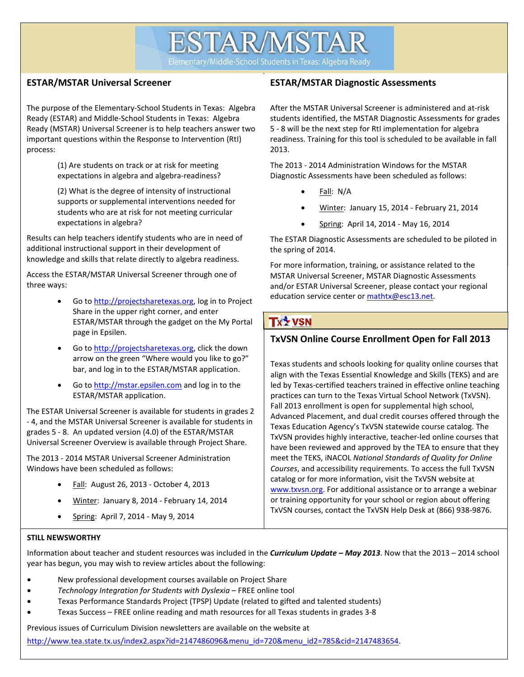**ESTAR/MSTAR** 

Elementary/Middle-School Students in Texas: Algebra Ready

## **ESTAR/MSTAR Universal Screener**

The purpose of the Elementary-School Students in Texas: Algebra Ready (ESTAR) and Middle-School Students in Texas: Algebra Ready (MSTAR) Universal Screener is to help teachers answer two important questions within the Response to Intervention (RtI) process:

> (1) Are students on track or at risk for meeting expectations in algebra and algebra-readiness?

(2) What is the degree of intensity of instructional supports or supplemental interventions needed for students who are at risk for not meeting curricular expectations in algebra?

Results can help teachers identify students who are in need of additional instructional support in their development of knowledge and skills that relate directly to algebra readiness.

Access the ESTAR/MSTAR Universal Screener through one of three ways:

- ESTAR/MSTAR through the gadget on the My Portal<br>2006 in Ensilan Go to [http://projectsharetexas.org,](http://projectsharetexas.org/) log in to Project Share in the upper right corner, and enter page in Epsilen.
- Go to [http://projectsharetexas.org,](http://projectsharetexas.org/) click the down arrow on the green "Where would you like to go?" bar, and log in to the ESTAR/MSTAR application.
- Go to [http://mstar.epsilen.com](http://mstar.epsilen.com/) and log in to the ESTAR/MSTAR application.

The ESTAR Universal Screener is available for students in grades 2 - 4, and the MSTAR Universal Screener is available for students in grades 5 - 8. An updated version (4.0) of the ESTAR/MSTAR Universal Screener Overview is available through Project Share.

The 2013 - 2014 MSTAR Universal Screener Administration Windows have been scheduled as follows:

- Fall: August 26, 2013 October 4, 2013
- Winter: January 8, 2014 February 14, 2014
- Spring: April 7, 2014 May 9, 2014

## **ESTAR/MSTAR Diagnostic Assessments**

After the MSTAR Universal Screener is administered and at-risk students identified, the MSTAR Diagnostic Assessments for grades 5 - 8 will be the next step for RtI implementation for algebra readiness. Training for this tool is scheduled to be available in fall 2013.

The 2013 - 2014 Administration Windows for the MSTAR Diagnostic Assessments have been scheduled as follows:

- Fall: N/A
- Winter: January 15, 2014 February 21, 2014
- Spring: April 14, 2014 May 16, 2014

The ESTAR Diagnostic Assessments are scheduled to be piloted in the spring of 2014.

For more information, training, or assistance related to the MSTAR Universal Screener, MSTAR Diagnostic Assessments and/or ESTAR Universal Screener, please contact your regional education service center or mathtx@esc13.net.

# **Tx<sup>4</sup> VSN**

# **TxVSN Online Course Enrollment Open for Fall 2013**

Texas students and schools looking for quality online courses that align with the Texas Essential Knowledge and Skills (TEKS) and are led by Texas-certified teachers trained in effective online teaching practices can turn to the Texas Virtual School Network (TxVSN). Fall 2013 enrollment is open for supplemental high school, Advanced Placement, and dual credit courses offered through the Texas Education Agency's TxVSN statewide course catalog. The TxVSN provides highly interactive, teacher-led online courses that have been reviewed and approved by the TEA to ensure that they meet the TEKS, iNACOL *National Standards of Quality for Online Courses*, and accessibility requirements. To access the full TxVSN catalog or for more information, visit the TxVSN website at [www.txvsn.org.](http://www.txvsn.org/) For additional assistance or to arrange a webinar or training opportunity for your school or region about offering TxVSN courses, contact the TxVSN Help Desk at (866) 938-9876.

#### **STILL NEWSWORTHY**

Information about teacher and student resources was included in the *Curriculum Update – May 2013*. Now that the 2013 – 2014 school year has begun, you may wish to review articles about the following:

- New professional development courses available on Project Share
- *Technology Integration for Students with Dyslexia* FREE online tool
- Texas Performance Standards Project (TPSP) Update (related to gifted and talented students)
- Texas Success FREE online reading and math resources for all Texas students in grades 3-8

Previous issues of Curriculum Division newsletters are available on the website at

[http://www.tea.state.tx.us/index2.aspx?id=2147486096&menu\\_id=720&menu\\_id2=785&cid=2147483654.](http://www.tea.state.tx.us/index2.aspx?id=2147486096&menu_id=720&menu_id2=785&cid=2147483654)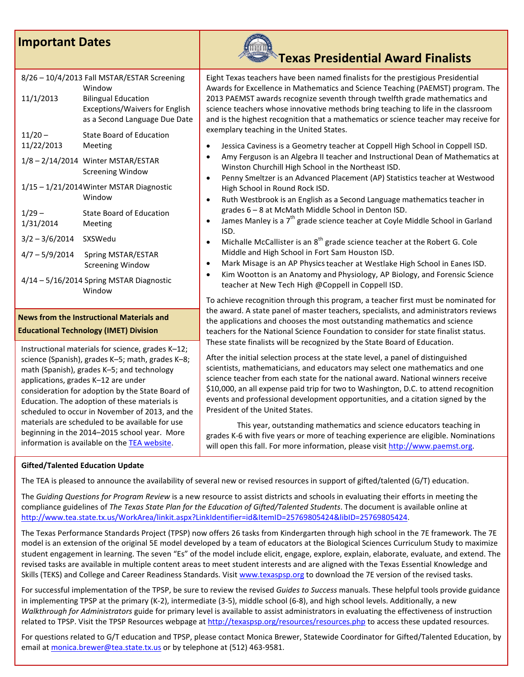# **Important Dates**



#### **News from the Instructional Materials and Educational Technology (IMET) Division**

Instructional materials for science, grades K–12; science (Spanish), grades K–5; math, grades K–8; math (Spanish), grades K–5; and technology applications, grades K–12 are under consideration for adoption by the State Board of Education. The adoption of these materials is scheduled to occur in November of 2013, and the materials are scheduled to be available for use beginning in the 2014–2015 school year. More information is available on th[e TEA website.](http://www.tea.state.tx.us/index2.aspx?id=2147505402)

#### **Gifted/Talented Education Update**

The TEA is pleased to announce the availability of several new or revised resources in support of gifted/talented (G/T) education.

The *Guiding Questions for Program Review* is a new resource to assist districts and schools in evaluating their efforts in meeting the compliance guidelines of *The Texas State Plan for the Education of Gifted/Talented Students*. The document is available online at [http://www.tea.state.tx.us/WorkArea/linkit.aspx?LinkIdentifier=id&ItemID=25769805424&libID=25769805424.](http://www.tea.state.tx.us/WorkArea/linkit.aspx?LinkIdentifier=id&ItemID=25769805424&libID=25769805424) 

The Texas Performance Standards Project (TPSP) now offers 26 tasks from Kindergarten through high school in the 7E framework. The 7E model is an extension of the original 5E model developed by a team of educators at the Biological Sciences Curriculum Study to maximize student engagement in learning. The seven "Es" of the model include elicit, engage, explore, explain, elaborate, evaluate, and extend. The revised tasks are available in multiple content areas to meet student interests and are aligned with the Texas Essential Knowledge and Skills (TEKS) and College and Career Readiness Standards. Visit [www.texaspsp.org](http://www.texaspsp.org/) to download the 7E version of the revised tasks.

For successful implementation of the TPSP, be sure to review the revised *Guides to Success* manuals. These helpful tools provide guidance in implementing TPSP at the primary (K-2), intermediate (3-5), middle school (6-8), and high school levels. Additionally, a new *Walkthrough for Administrators* guide for primary level is available to assist administrators in evaluating the effectiveness of instruction related to TPSP. Visit the TPSP Resources webpage at<http://texaspsp.org/resources/resources.php> to access these updated resources.

For questions related to G/T education and TPSP, please contact Monica Brewer, Statewide Coordinator for Gifted/Talented Education, by email at [monica.brewer@tea.state.tx.us](mailto:monica.brewer@tea.state.tx.us) or by telephone at (512) 463-9581.

Eight Texas teachers have been named finalists for the prestigious Presidential Awards for Excellence in Mathematics and Science Teaching (PAEMST) program. The 2013 PAEMST awards recognize seventh through twelfth grade mathematics and science teachers whose innovative methods bring teaching to life in the classroom and is the highest recognition that a mathematics or science teacher may receive for exemplary teaching in the United States.

- Jessica Caviness is a Geometry teacher at Coppell High School in Coppell ISD.
- Amy Ferguson is an Algebra II teacher and Instructional Dean of Mathematics at Winston Churchill High School in the Northeast ISD.
- Penny Smeltzer is an Advanced Placement (AP) Statistics teacher at Westwood High School in Round Rock ISD.
- Ruth Westbrook is an English as a Second Language mathematics teacher in grades 6 – 8 at McMath Middle School in Denton ISD.
- James Manley is a  $7<sup>th</sup>$  grade science teacher at Coyle Middle School in Garland ISD.
- Michalle McCallister is an  $8<sup>th</sup>$  grade science teacher at the Robert G. Cole Middle and High School in Fort Sam Houston ISD.
- Mark Misage is an AP Physicsteacher at Westlake High School in Eanes ISD.
- Kim Wootton is an Anatomy and Physiology, AP Biology, and Forensic Science teacher at New Tech High @Coppell in Coppell ISD.

To achieve recognition through this program, a teacher first must be nominated for the award. A state panel of master teachers, specialists, and administrators reviews the applications and chooses the most outstanding mathematics and science teachers for the National Science Foundation to consider for state finalist status. These state finalists will be recognized by the State Board of Education.

After the initial selection process at the state level, a panel of distinguished scientists, mathematicians, and educators may select one mathematics and one science teacher from each state for the national award. National winners receive \$10,000, an all expense paid trip for two to Washington, D.C. to attend recognition events and professional development opportunities, and a citation signed by the President of the United States.

This year, outstanding mathematics and science educators teaching in grades K-6 with five years or more of teaching experience are eligible. Nominations will open this fall. For more information, please visit [http://www.paemst.org.](http://www.paemst.org/)

**Texas Presidential Award Finalists**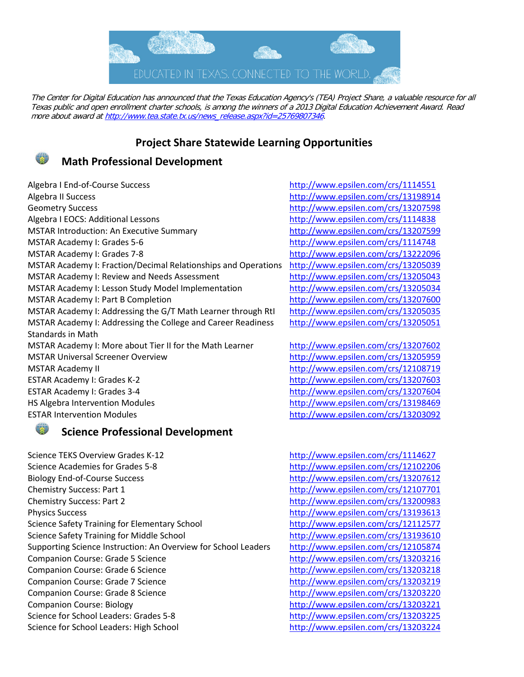

The Center for Digital Education has announced that the Texas Education Agency's (TEA) Project Share, a valuable resource for all Texas public and open enrollment charter schools, is among the winners of a 2013 Digital Education Achievement Award. Read more about award a[t http://www.tea.state.tx.us/news\\_release.aspx?id=25769807346.](http://www.tea.state.tx.us/news_release.aspx?id=25769807346)

# **Project Share Statewide Learning Opportunities**



# **Math Professional Development**

Algebra I End-of-Course Success <http://www.epsilen.com/crs/1114551> Algebra II Success <http://www.epsilen.com/crs/13198914> Geometry Success <http://www.epsilen.com/crs/13207598> Algebra I EOCS: Additional Lessons <http://www.epsilen.com/crs/1114838> MSTAR Introduction: An Executive Summary <http://www.epsilen.com/crs/13207599> MSTAR Academy I: Grades 5-6 <http://www.epsilen.com/crs/1114748> MSTAR Academy I: Grades 7-8 <http://www.epsilen.com/crs/13222096> MSTAR Academy I: Fraction/Decimal Relationships and Operations <http://www.epsilen.com/crs/13205039> MSTAR Academy I: Review and Needs Assessment <http://www.epsilen.com/crs/13205043> MSTAR Academy I: Lesson Study Model Implementation <http://www.epsilen.com/crs/13205034> MSTAR Academy I: Part B Completion <http://www.epsilen.com/crs/13207600> MSTAR Academy I: Addressing the G/T Math Learner through RtI <http://www.epsilen.com/crs/13205035> MSTAR Academy I: Addressing the College and Career Readiness Standards in Math MSTAR Academy I: More about Tier II for the Math Learner <http://www.epsilen.com/crs/13207602> MSTAR Universal Screener Overview <http://www.epsilen.com/crs/13205959> MSTAR Academy II <http://www.epsilen.com/crs/12108719> ESTAR Academy I: Grades K-2 <http://www.epsilen.com/crs/13207603> ESTAR Academy I: Grades 3-4 <http://www.epsilen.com/crs/13207604> HS Algebra Intervention Modules <http://www.epsilen.com/crs/13198469> ESTAR Intervention Modules <http://www.epsilen.com/crs/13203092>



# **Science Professional Development**

Science TEKS Overview Grades K-12 <http://www.epsilen.com/crs/1114627> Science Academies for Grades 5-8 <http://www.epsilen.com/crs/12102206> Biology End-of-Course Success <http://www.epsilen.com/crs/13207612> Chemistry Success: Part 1 <http://www.epsilen.com/crs/12107701> Chemistry Success: Part 2 <http://www.epsilen.com/crs/13200983> Physics Success <http://www.epsilen.com/crs/13193613> Science Safety Training for Elementary School <http://www.epsilen.com/crs/12112577> Science Safety Training for Middle School <http://www.epsilen.com/crs/13193610> Supporting Science Instruction: An Overview for School Leaders <http://www.epsilen.com/crs/12105874> Companion Course: Grade 5 Science <http://www.epsilen.com/crs/13203216> Companion Course: Grade 6 Science <http://www.epsilen.com/crs/13203218> Companion Course: Grade 7 Science <http://www.epsilen.com/crs/13203219> Companion Course: Grade 8 Science <http://www.epsilen.com/crs/13203220> Companion Course: Biology <http://www.epsilen.com/crs/13203221> Science for School Leaders: Grades 5-8 <http://www.epsilen.com/crs/13203225> Science for School Leaders: High School <http://www.epsilen.com/crs/13203224>

<http://www.epsilen.com/crs/13205051>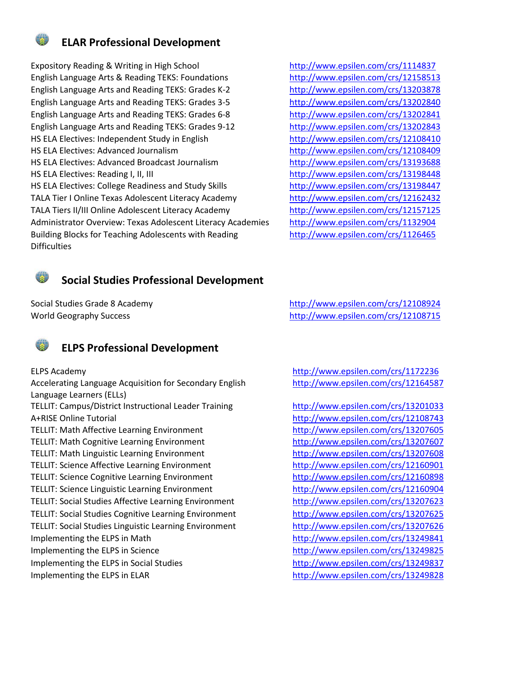

# **ELAR Professional Development**

Expository Reading & Writing in High School <http://www.epsilen.com/crs/1114837> English Language Arts & Reading TEKS: Foundations <http://www.epsilen.com/crs/12158513> English Language Arts and Reading TEKS: Grades K-2 <http://www.epsilen.com/crs/13203878> English Language Arts and Reading TEKS: Grades 3-5 <http://www.epsilen.com/crs/13202840> English Language Arts and Reading TEKS: Grades 6-8 <http://www.epsilen.com/crs/13202841> English Language Arts and Reading TEKS: Grades 9-12 <http://www.epsilen.com/crs/13202843> HS ELA Electives: Independent Study in English <http://www.epsilen.com/crs/12108410> HS ELA Electives: Advanced Journalism <http://www.epsilen.com/crs/12108409> HS ELA Electives: Advanced Broadcast Journalism <http://www.epsilen.com/crs/13193688> HS ELA Electives: Reading I, II, III <http://www.epsilen.com/crs/13198448> HS ELA Electives: College Readiness and Study Skills <http://www.epsilen.com/crs/13198447> TALA Tier I Online Texas Adolescent Literacy Academy <http://www.epsilen.com/crs/12162432> TALA Tiers II/III Online Adolescent Literacy Academy <http://www.epsilen.com/crs/12157125> Administrator Overview: Texas Adolescent Literacy Academies <http://www.epsilen.com/crs/1132904> Building Blocks for Teaching Adolescents with Reading **Difficulties** 

<http://www.epsilen.com/crs/1126465>

# **Social Studies Professional Development**



# **ELPS Professional Development**

Accelerating Language Acquisition for Secondary English Language Learners (ELLs) TELLIT: Campus/District Instructional Leader Training <http://www.epsilen.com/crs/13201033> A+RISE Online Tutorial <http://www.epsilen.com/crs/12108743> TELLIT: Math Affective Learning Environment <http://www.epsilen.com/crs/13207605> TELLIT: Math Cognitive Learning Environment <http://www.epsilen.com/crs/13207607> TELLIT: Math Linguistic Learning Environment <http://www.epsilen.com/crs/13207608> TELLIT: Science Affective Learning Environment <http://www.epsilen.com/crs/12160901> TELLIT: Science Cognitive Learning Environment <http://www.epsilen.com/crs/12160898> TELLIT: Science Linguistic Learning Environment <http://www.epsilen.com/crs/12160904> TELLIT: Social Studies Affective Learning Environment <http://www.epsilen.com/crs/13207623> TELLIT: Social Studies Cognitive Learning Environment <http://www.epsilen.com/crs/13207625> TELLIT: Social Studies Linguistic Learning Environment <http://www.epsilen.com/crs/13207626> Implementing the ELPS in Math <http://www.epsilen.com/crs/13249841> Implementing the ELPS in Science <http://www.epsilen.com/crs/13249825> Implementing the ELPS in Social Studies <http://www.epsilen.com/crs/13249837> Implementing the ELPS in ELAR <http://www.epsilen.com/crs/13249828>

Social Studies Grade 8 Academy <http://www.epsilen.com/crs/12108924> World Geography Success <http://www.epsilen.com/crs/12108715>

ELPS Academy <http://www.epsilen.com/crs/1172236> <http://www.epsilen.com/crs/12164587>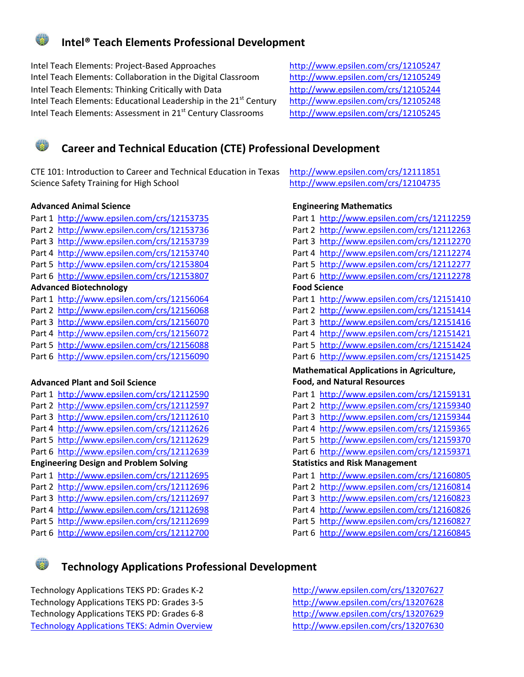# **Intel® Teach Elements Professional Development**

Intel Teach Elements: Project-Based Approaches <http://www.epsilen.com/crs/12105247> Intel Teach Elements: Collaboration in the Digital Classroom <http://www.epsilen.com/crs/12105249> Intel Teach Elements: Thinking Critically with Data <http://www.epsilen.com/crs/12105244> Intel Teach Elements: Educational Leadership in the 21<sup>st</sup> Century <http://www.epsilen.com/crs/12105248> Intel Teach Elements: Assessment in 21<sup>st</sup> Century Classrooms <http://www.epsilen.com/crs/12105245>



# **Career and Technical Education (CTE) Professional Development**

CTE 101: Introduction to Career and Technical Education in Texas <http://www.epsilen.com/crs/12111851> Science Safety Training for High School <http://www.epsilen.com/crs/12104735>

#### **Advanced Animal Science Engineering Mathematics**

- Part 1<http://www.epsilen.com/crs/12153735> Part 2<http://www.epsilen.com/crs/12153736> Part 3<http://www.epsilen.com/crs/12153739> Part 4<http://www.epsilen.com/crs/12153740> Part 5<http://www.epsilen.com/crs/12153804> Part 6<http://www.epsilen.com/crs/12153807> **Advanced Biotechnology** Part 1<http://www.epsilen.com/crs/12156064> Part 2<http://www.epsilen.com/crs/12156068> Part 3<http://www.epsilen.com/crs/12156070> Part 4<http://www.epsilen.com/crs/12156072> Part 5<http://www.epsilen.com/crs/12156088> Part 6<http://www.epsilen.com/crs/12156090> **Advanced Plant and Soil Science** Part 1<http://www.epsilen.com/crs/12112590> Part 2<http://www.epsilen.com/crs/12112597>
- Part 3<http://www.epsilen.com/crs/12112610> Part 4<http://www.epsilen.com/crs/12112626>
- Part 5<http://www.epsilen.com/crs/12112629>
- Part 6<http://www.epsilen.com/crs/12112639>

#### **Engineering Design and Problem Solving**

- Part 1<http://www.epsilen.com/crs/12112695>
- Part 2<http://www.epsilen.com/crs/12112696>
- Part 3<http://www.epsilen.com/crs/12112697>
- Part 4<http://www.epsilen.com/crs/12112698>
- Part 5<http://www.epsilen.com/crs/12112699> Part 6<http://www.epsilen.com/crs/12112700>

| Part 1                                           | <u>http://www.epsilen.com/crs/12112259</u> |  |  |
|--------------------------------------------------|--------------------------------------------|--|--|
| Part 2                                           | http://www.epsilen.com/crs/12112263        |  |  |
| Part 3                                           | http://www.epsilen.com/crs/12112270        |  |  |
| Part 4                                           | http://www.epsilen.com/crs/12112274        |  |  |
| Part 5                                           | http://www.epsilen.com/crs/12112277        |  |  |
| Part 6                                           | http://www.epsilen.com/crs/12112278        |  |  |
| <b>Food Science</b>                              |                                            |  |  |
| Part 1                                           | http://www.epsilen.com/crs/12151410        |  |  |
| Part 2                                           | http://www.epsilen.com/crs/12151414        |  |  |
|                                                  | Part 3 http://www.epsilen.com/crs/12151416 |  |  |
| Part 4                                           | http://www.epsilen.com/crs/12151421        |  |  |
| Part 5                                           | http://www.epsilen.com/crs/12151424        |  |  |
| Part 6                                           | http://www.epsilen.com/crs/12151425        |  |  |
| <b>Mathematical Applications in Agriculture,</b> |                                            |  |  |
|                                                  |                                            |  |  |
|                                                  | <b>Food, and Natural Resources</b>         |  |  |
|                                                  | Part 1 http://www.epsilen.com/crs/12159131 |  |  |
|                                                  | Part 2 http://www.epsilen.com/crs/12159340 |  |  |
|                                                  | Part 3 http://www.epsilen.com/crs/12159344 |  |  |
| Part 4                                           | http://www.epsilen.com/crs/12159365        |  |  |
| Part 5                                           | http://www.epsilen.com/crs/12159370        |  |  |
| Part 6                                           | http://www.epsilen.com/crs/12159371        |  |  |
|                                                  | <b>Statistics and Risk Management</b>      |  |  |
| Part 1                                           | http://www.epsilen.com/crs/12160805        |  |  |
| Part 2                                           | http://www.epsilen.com/crs/12160814        |  |  |
| Part 3                                           | http://www.epsilen.com/crs/12160823        |  |  |
| Part 4                                           | http://www.epsilen.com/crs/12160826        |  |  |
| Part 5                                           | http://www.epsilen.com/crs/12160827        |  |  |



# **Technology Applications Professional Development**

Technology Applications TEKS PD: Grades K-2 <http://www.epsilen.com/crs/13207627> Technology Applications TEKS PD: Grades 3-5 <http://www.epsilen.com/crs/13207628> Technology Applications TEKS PD: Grades 6-8 <http://www.epsilen.com/crs/13207629> Technology Applications TEKS: Admin Overview <http://www.epsilen.com/crs/13207630>